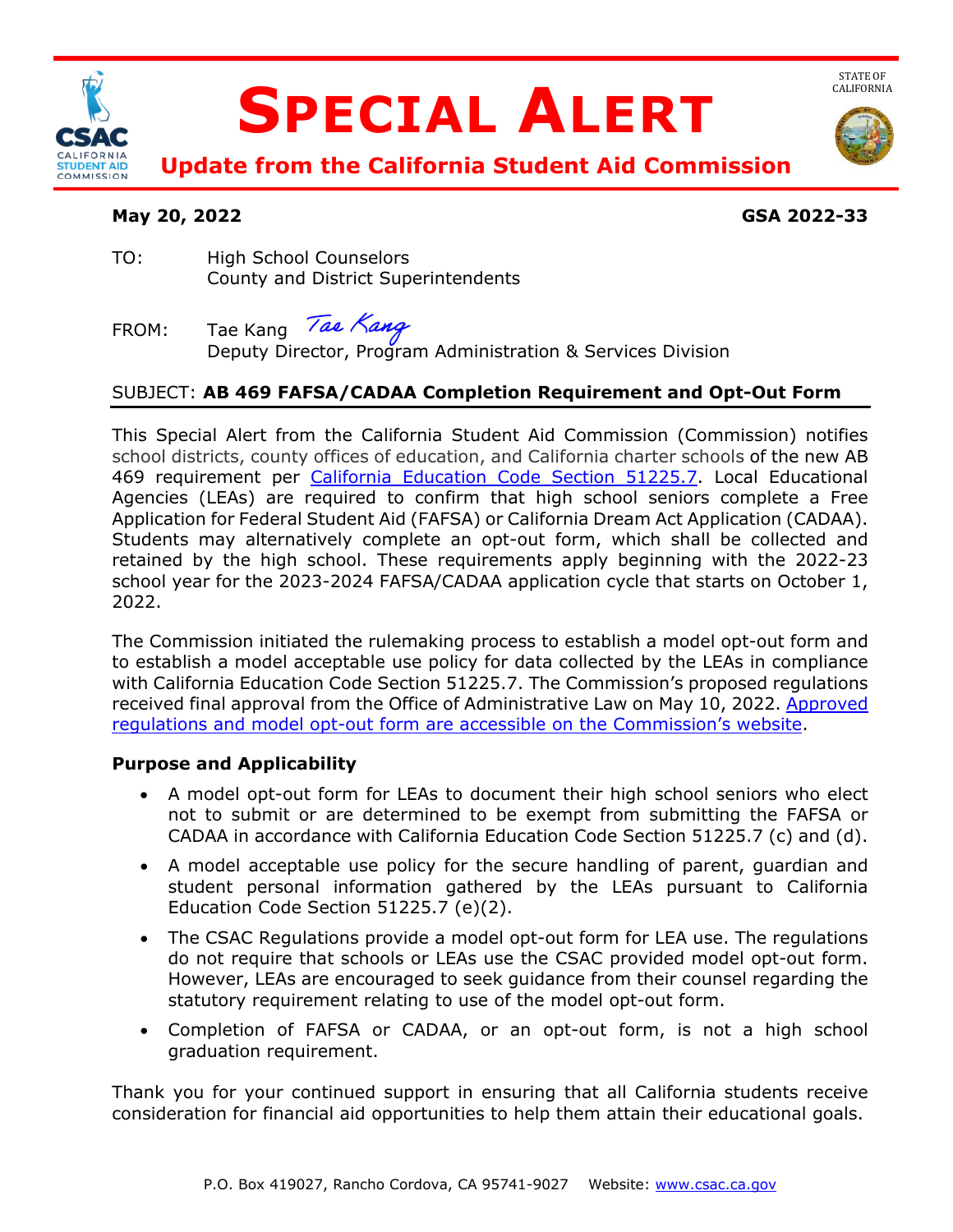

# **SPECIAL ALERT**



STATE OF<br>CALIFORNIA

 **Update from the California Student Aid Commission** 

# **May 20, 2022 GSA 2022-33**

- TO: High School Counselors County and District Superintendents
- Tae Kang Tae Kang FROM: Tae Kang *Tae Nang*<br>Deputy Director, Program Administration & Services Division

# SUBJECT: **AB 469 FAFSA/CADAA Completion Requirement and Opt-Out Form**

 This Special Alert from the California Student Aid Commission (Commission) notifies school districts, county offices of education, and California charter schools of the new AB 469 requirement per [California Education Code Section 51225.7.](https://leginfo.legislature.ca.gov/faces/codes_displaySection.xhtml?sectionNum=51225.7&lawCode=EDC) Local Educational Application for Federal Student Aid (FAFSA) or California Dream Act Application (CADAA). Students may alternatively complete an opt-out form, which shall be collected and retained by the high school. These requirements apply beginning with the 2022-23 school year for the 2023-2024 FAFSA/CADAA application cycle that starts on October 1, 2022. Agencies (LEAs) are required to confirm that high school seniors complete a Free

 to establish a model acceptable use policy for data collected by the LEAs in compliance received final approval from the Office of Administrative Law on May 10, 2022. Approved The Commission initiated the rulemaking process to establish a model opt-out form and with California Education Code Section 51225.7. The Commission's proposed regulations [regulations and model opt-out form are accessible on the Commission's website.](https://www.csac.ca.gov/proposed-regulations-rulemaking-documents)

## **Purpose and Applicability**

- • A model opt-out form for LEAs to document their high school seniors who elect not to submit or are determined to be exempt from submitting the FAFSA or CADAA in accordance with California Education Code Section 51225.7 (c) and (d).
- • A model acceptable use policy for the secure handling of parent, guardian and student personal information gathered by the LEAs pursuant to California Education Code Section 51225.7 (e)(2).
- • The CSAC Regulations provide a model opt-out form for LEA use. The regulations However, LEAs are encouraged to seek guidance from their counsel regarding the do not require that schools or LEAs use the CSAC provided model opt-out form. statutory requirement relating to use of the model opt-out form.
- • Completion of FAFSA or CADAA, or an opt-out form, is not a high school graduation requirement.

 Thank you for your continued support in ensuring that all California students receive consideration for financial aid opportunities to help them attain their educational goals.